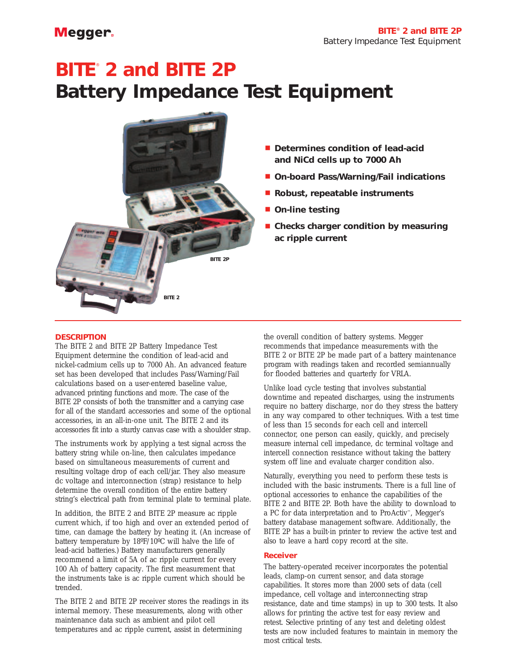# **BITE**® **2 and BITE 2P Battery Impedance Test Equipment**



- **Determines condition of lead-acid and NiCd cells up to 7000 Ah**
- **On-board Pass/Warning/Fail indications**
- **Robust, repeatable instruments**
- **On-line testing**
- **Checks charger condition by measuring ac ripple current**

## **DESCRIPTION**

The BITE 2 and BITE 2P Battery Impedance Test Equipment determine the condition of lead-acid and nickel-cadmium cells up to 7000 Ah. An advanced feature set has been developed that includes Pass/Warning/Fail calculations based on a user-entered baseline value, advanced printing functions and more. The case of the BITE 2P consists of both the transmitter and a carrying case for all of the standard accessories and some of the optional accessories, in an all-in-one unit. The BITE 2 and its accessories fit into a sturdy canvas case with a shoulder strap.

The instruments work by applying a test signal across the battery string while on-line, then calculates impedance based on simultaneous measurements of current and resulting voltage drop of each cell/jar. They also measure dc voltage and interconnection (strap) resistance to help determine the overall condition of the entire battery string's electrical path from terminal plate to terminal plate.

In addition, the BITE 2 and BITE 2P measure ac ripple current which, if too high and over an extended period of time, can damage the battery by heating it. (An increase of battery temperature by 18ºF/10ºC will halve the life of lead-acid batteries.) Battery manufacturers generally recommend a limit of 5A of ac ripple current for every 100 Ah of battery capacity. The first measurement that the instruments take is ac ripple current which should be trended.

The BITE 2 and BITE 2P receiver stores the readings in its internal memory. These measurements, along with other maintenance data such as ambient and pilot cell temperatures and ac ripple current, assist in determining

the overall condition of battery systems. Megger recommends that impedance measurements with the BITE 2 or BITE 2P be made part of a battery maintenance program with readings taken and recorded semiannually for flooded batteries and quarterly for VRLA.

Unlike load cycle testing that involves substantial downtime and repeated discharges, using the instruments require no battery discharge, nor do they stress the battery in any way compared to other techniques. With a test time of less than 15 seconds for each cell and intercell connector, one person can easily, quickly, and precisely measure internal cell impedance, dc terminal voltage and intercell connection resistance without taking the battery system off line and evaluate charger condition also.

Naturally, everything you need to perform these tests is included with the basic instruments. There is a full line of optional accessories to enhance the capabilities of the BITE 2 and BITE 2P. Both have the ability to download to a PC for data interpretation and to ProActiv™, Megger's battery database management software. Additionally, the BITE 2P has a built-in printer to review the active test and also to leave a hard copy record at the site.

## **Receiver**

The battery-operated receiver incorporates the potential leads, clamp-on current sensor, and data storage capabilities. It stores more than 2000 sets of data (cell impedance, cell voltage and interconnecting strap resistance, date and time stamps) in up to 300 tests. It also allows for printing the active test for easy review and retest. Selective printing of any test and deleting oldest tests are now included features to maintain in memory the most critical tests.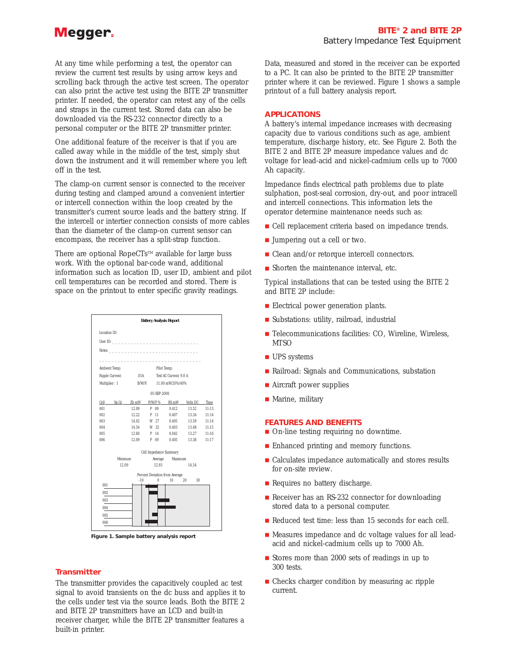At any time while performing a test, the operator can review the current test results by using arrow keys and scrolling back through the active test screen. The operator can also print the active test using the BITE 2P transmitter printer. If needed, the operator can retest any of the cells and straps in the current test. Stored data can also be downloaded via the RS-232 connector directly to a personal computer or the BITE 2P transmitter printer.

One additional feature of the receiver is that if you are called away while in the middle of the test, simply shut down the instrument and it will remember where you left off in the test.

The clamp-on current sensor is connected to the receiver during testing and clamped around a convenient intertier or intercell connection within the loop created by the transmitter's current source leads and the battery string. If the intercell or intertier connection consists of more cables than the diameter of the clamp-on current sensor can encompass, the receiver has a split-strap function.

There are optional RopeCTs™ available for large buss work. With the optional bar-code wand, additional information such as location ID, user ID, ambient and pilot cell temperatures can be recorded and stored. There is space on the printout to enter specific gravity readings.



**Figure 1. Sample battery analysis report** 

## **Transmitter**

The transmitter provides the capacitively coupled ac test signal to avoid transients on the dc buss and applies it to the cells under test via the source leads. Both the BITE 2 and BITE 2P transmitters have an LCD and built-in receiver charger, while the BITE 2P transmitter features a built-in printer.

Data, measured and stored in the receiver can be exported to a PC. It can also be printed to the BITE 2P transmitter printer where it can be reviewed. Figure 1 shows a sample printout of a full battery analysis report.

## **APPLICATIONS**

A battery's internal impedance increases with decreasing capacity due to various conditions such as age, ambient temperature, discharge history, etc. See Figure 2. Both the BITE 2 and BITE 2P measure impedance values and dc voltage for lead-acid and nickel-cadmium cells up to 7000 Ah capacity.

Impedance finds electrical path problems due to plate sulphation, post-seal corrosion, dry-out, and poor intracell and intercell connections. This information lets the operator determine maintenance needs such as:

- Cell replacement criteria based on impedance trends.
- Jumpering out a cell or two.
- Clean and/or retorque intercell connectors.
- Shorten the maintenance interval, etc.

Typical installations that can be tested using the BITE 2 and BITE 2P include:

- Electrical power generation plants.
- Substations: utility, railroad, industrial
- Telecommunications facilities: CO, Wireline, Wireless, **MTSO**
- UPS systems
- Railroad: Signals and Communications, substation
- Aircraft power supplies
- Marine, military

## **FEATURES AND BENEFITS**

- On-line testing requiring no downtime.
- Enhanced printing and memory functions.
- Calculates impedance automatically and stores results for on-site review.
- Requires no battery discharge.
- Receiver has an RS-232 connector for downloading stored data to a personal computer.
- Reduced test time: less than 15 seconds for each cell.
- Measures impedance and dc voltage values for all leadacid and nickel-cadmium cells up to 7000 Ah.
- Stores more than 2000 sets of readings in up to 300 tests.
- Checks charger condition by measuring ac ripple current.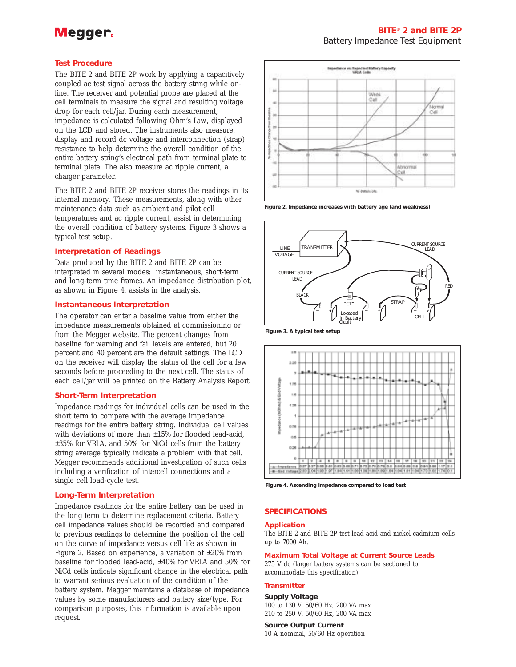## **Test Procedure**

The BITE 2 and BITE 2P work by applying a capacitively coupled ac test signal across the battery string while online. The receiver and potential probe are placed at the cell terminals to measure the signal and resulting voltage drop for each cell/jar. During each measurement, impedance is calculated following Ohm's Law, displayed on the LCD and stored. The instruments also measure, display and record dc voltage and interconnection (strap) resistance to help determine the overall condition of the entire battery string's electrical path from terminal plate to terminal plate. The also measure ac ripple current, a charger parameter.

The BITE 2 and BITE 2P receiver stores the readings in its internal memory. These measurements, along with other maintenance data such as ambient and pilot cell temperatures and ac ripple current, assist in determining the overall condition of battery systems. Figure 3 shows a typical test setup.

## **Interpretation of Readings**

Data produced by the BITE 2 and BITE 2P can be interpreted in several modes: instantaneous, short-term and long-term time frames. An impedance distribution plot, as shown in Figure 4, assists in the analysis.

## **Instantaneous Interpretation**

The operator can enter a baseline value from either the impedance measurements obtained at commissioning or from the Megger website. The percent changes from baseline for warning and fail levels are entered, but 20 percent and 40 percent are the default settings. The LCD on the receiver will display the status of the cell for a few seconds before proceeding to the next cell. The status of each cell/jar will be printed on the Battery Analysis Report.

## **Short-Term Interpretation**

Impedance readings for individual cells can be used in the short term to compare with the average impedance readings for the entire battery string. Individual cell values with deviations of more than ±15% for flooded lead-acid, ±35% for VRLA, and 50% for NiCd cells from the battery string average typically indicate a problem with that cell. Megger recommends additional investigation of such cells including a verification of intercell connections and a single cell load-cycle test.

## **Long-Term Interpretation**

Impedance readings for the entire battery can be used in the long term to determine replacement criteria. Battery cell impedance values should be recorded and compared to previous readings to determine the position of the cell on the curve of impedance versus cell life as shown in Figure 2. Based on experience, a variation of  $\pm 20\%$  from baseline for flooded lead-acid, ±40% for VRLA and 50% for NiCd cells indicate significant change in the electrical path to warrant serious evaluation of the condition of the battery system. Megger maintains a database of impedance values by some manufacturers and battery size/type. For comparison purposes, this information is available upon request.



**Figure 2. Impedance increases with battery age (and weakness)**



**Figure 3. A typical test setup**



**Figure 4. Ascending impedance compared to load test**

## **SPECIFICATIONS**

## **Application**

The BITE 2 and BITE 2P test lead-acid and nickel-cadmium cells up to 7000 Ah.

**Maximum Total Voltage at Current Source Leads**

275 V dc (larger battery systems can be sectioned to accommodate this specification)

## **Transmitter**

**Supply Voltage** 100 to 130 V, 50/60 Hz, 200 VA max 210 to 250 V, 50/60 Hz, 200 VA max

## **Source Output Current**

10 A nominal, 50/60 Hz operation